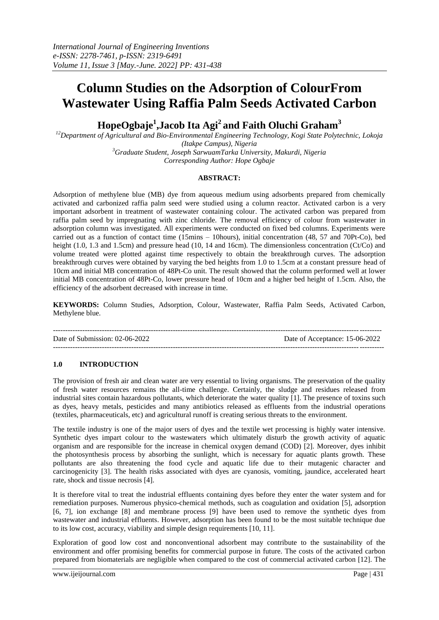# **Column Studies on the Adsorption of ColourFrom Wastewater Using Raffia Palm Seeds Activated Carbon**

**HopeOgbaje<sup>1</sup> ,Jacob Ita Agi<sup>2</sup>and Faith Oluchi Graham<sup>3</sup>**

*<sup>12</sup>Department of Agricultural and Bio-Environmental Engineering Technology, Kogi State Polytechnic, Lokoja (Itakpe Campus), Nigeria*

*<sup>3</sup>Graduate Student, Joseph SarwuamTarka University, Makurdi, Nigeria Corresponding Author: Hope Ogbaje*

## **ABSTRACT:**

Adsorption of methylene blue (MB) dye from aqueous medium using adsorbents prepared from chemically activated and carbonized raffia palm seed were studied using a column reactor. Activated carbon is a very important adsorbent in treatment of wastewater containing colour. The activated carbon was prepared from raffia palm seed by impregnating with zinc chloride. The removal efficiency of colour from wastewater in adsorption column was investigated. All experiments were conducted on fixed bed columns. Experiments were carried out as a function of contact time (15mins – 10hours), initial concentration (48, 57 and 70Pt-Co), bed height (1.0, 1.3 and 1.5cm) and pressure head (10, 14 and 16cm). The dimensionless concentration (Ct/Co) and volume treated were plotted against time respectively to obtain the breakthrough curves. The adsorption breakthrough curves were obtained by varying the bed heights from 1.0 to 1.5cm at a constant pressure head of 10cm and initial MB concentration of 48Pt-Co unit. The result showed that the column performed well at lower initial MB concentration of 48Pt-Co, lower pressure head of 10cm and a higher bed height of 1.5cm. Also, the efficiency of the adsorbent decreased with increase in time.

**KEYWORDS:** Column Studies, Adsorption, Colour, Wastewater, Raffia Palm Seeds, Activated Carbon, Methylene blue.

-------------------------------------------------------------------------------------------------------------------------------------- Date of Submission: 02-06-2022 Date of Acceptance: 15-06-2022 ---------------------------------------------------------------------------------------------------------------------------------------

## **1.0 INTRODUCTION**

The provision of fresh air and clean water are very essential to living organisms. The preservation of the quality of fresh water resources remains the all-time challenge. Certainly, the sludge and residues released from industrial sites contain hazardous pollutants, which deteriorate the water quality [1]. The presence of toxins such as dyes, heavy metals, pesticides and many antibiotics released as effluents from the industrial operations (textiles, pharmaceuticals, etc) and agricultural runoff is creating serious threats to the environment.

The textile industry is one of the major users of dyes and the textile wet processing is highly water intensive. Synthetic dyes impart colour to the wastewaters which ultimately disturb the growth activity of aquatic organism and are responsible for the increase in chemical oxygen demand (COD) [2]. Moreover, dyes inhibit the photosynthesis process by absorbing the sunlight, which is necessary for aquatic plants growth. These pollutants are also threatening the food cycle and aquatic life due to their mutagenic character and carcinogenicity [3]. The health risks associated with dyes are cyanosis, vomiting, jaundice, accelerated heart rate, shock and tissue necrosis [4].

It is therefore vital to treat the industrial effluents containing dyes before they enter the water system and for remediation purposes. Numerous physico-chemical methods, such as coagulation and oxidation [5], adsorption [6, 7], ion exchange [8] and membrane process [9] have been used to remove the synthetic dyes from wastewater and industrial effluents. However, adsorption has been found to be the most suitable technique due to its low cost, accuracy, viability and simple design requirements [10, 11].

Exploration of good low cost and nonconventional adsorbent may contribute to the sustainability of the environment and offer promising benefits for commercial purpose in future. The costs of the activated carbon prepared from biomaterials are negligible when compared to the cost of commercial activated carbon [12]. The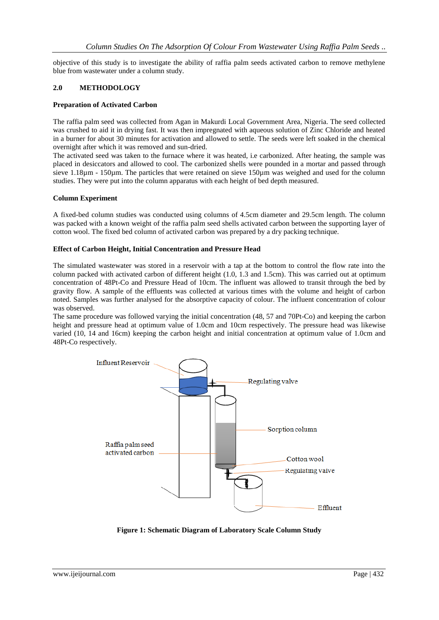objective of this study is to investigate the ability of raffia palm seeds activated carbon to remove methylene blue from wastewater under a column study.

#### **2.0 METHODOLOGY**

#### **Preparation of Activated Carbon**

The raffia palm seed was collected from Agan in Makurdi Local Government Area, Nigeria. The seed collected was crushed to aid it in drying fast. It was then impregnated with aqueous solution of Zinc Chloride and heated in a burner for about 30 minutes for activation and allowed to settle. The seeds were left soaked in the chemical overnight after which it was removed and sun-dried.

The activated seed was taken to the furnace where it was heated, i.e carbonized. After heating, the sample was placed in desiccators and allowed to cool. The carbonized shells were pounded in a mortar and passed through sieve 1.18µm - 150µm. The particles that were retained on sieve 150µm was weighed and used for the column studies. They were put into the column apparatus with each height of bed depth measured.

#### **Column Experiment**

A fixed-bed column studies was conducted using columns of 4.5cm diameter and 29.5cm length. The column was packed with a known weight of the raffia palm seed shells activated carbon between the supporting layer of cotton wool. The fixed bed column of activated carbon was prepared by a dry packing technique.

#### **Effect of Carbon Height, Initial Concentration and Pressure Head**

The simulated wastewater was stored in a reservoir with a tap at the bottom to control the flow rate into the column packed with activated carbon of different height (1.0, 1.3 and 1.5cm). This was carried out at optimum concentration of 48Pt-Co and Pressure Head of 10cm. The influent was allowed to transit through the bed by gravity flow. A sample of the effluents was collected at various times with the volume and height of carbon noted. Samples was further analysed for the absorptive capacity of colour. The influent concentration of colour was observed.

The same procedure was followed varying the initial concentration (48, 57 and 70Pt-Co) and keeping the carbon height and pressure head at optimum value of 1.0cm and 10cm respectively. The pressure head was likewise varied (10, 14 and 16cm) keeping the carbon height and initial concentration at optimum value of 1.0cm and 48Pt-Co respectively.



**Figure 1: Schematic Diagram of Laboratory Scale Column Study**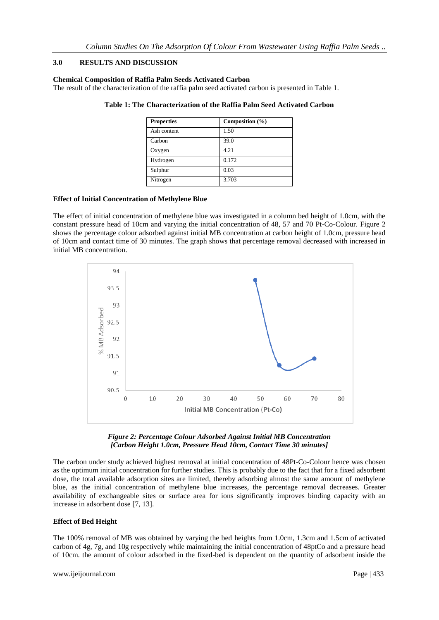## **3.0 RESULTS AND DISCUSSION**

### **Chemical Composition of Raffia Palm Seeds Activated Carbon**

The result of the characterization of the raffia palm seed activated carbon is presented in Table 1.

| <b>Properties</b> | Composition $(\% )$ |
|-------------------|---------------------|
| Ash content       | 1.50                |
| Carbon            | 39.0                |
| Oxygen            | 4.21                |
| Hydrogen          | 0.172               |
| Sulphur           | 0.03                |
| Nitrogen          | 3.703               |

## **Table 1: The Characterization of the Raffia Palm Seed Activated Carbon**

## **Effect of Initial Concentration of Methylene Blue**

The effect of initial concentration of methylene blue was investigated in a column bed height of 1.0cm, with the constant pressure head of 10cm and varying the initial concentration of 48, 57 and 70 Pt-Co-Colour. Figure 2 shows the percentage colour adsorbed against initial MB concentration at carbon height of 1.0cm, pressure head of 10cm and contact time of 30 minutes. The graph shows that percentage removal decreased with increased in initial MB concentration.





The carbon under study achieved highest removal at initial concentration of 48Pt-Co-Colour hence was chosen as the optimum initial concentration for further studies. This is probably due to the fact that for a fixed adsorbent dose, the total available adsorption sites are limited, thereby adsorbing almost the same amount of methylene blue, as the initial concentration of methylene blue increases, the percentage removal decreases. Greater availability of exchangeable sites or surface area for ions significantly improves binding capacity with an increase in adsorbent dose [7, 13].

### **Effect of Bed Height**

The 100% removal of MB was obtained by varying the bed heights from 1.0cm, 1.3cm and 1.5cm of activated carbon of 4g, 7g, and 10g respectively while maintaining the initial concentration of 48ptCo and a pressure head of 10cm. the amount of colour adsorbed in the fixed-bed is dependent on the quantity of adsorbent inside the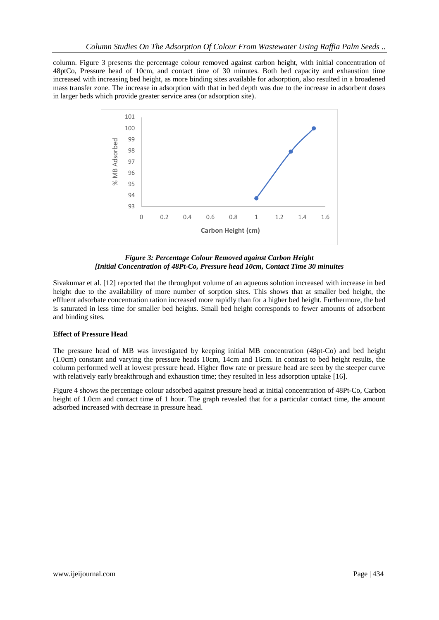column. Figure 3 presents the percentage colour removed against carbon height, with initial concentration of 48ptCo, Pressure head of 10cm, and contact time of 30 minutes. Both bed capacity and exhaustion time increased with increasing bed height, as more binding sites available for adsorption, also resulted in a broadened mass transfer zone. The increase in adsorption with that in bed depth was due to the increase in adsorbent doses in larger beds which provide greater service area (or adsorption site).



*Figure 3: Percentage Colour Removed against Carbon Height [Initial Concentration of 48Pt-Co, Pressure head 10cm, Contact Time 30 minuites*

Sivakumar et al. [12] reported that the throughput volume of an aqueous solution increased with increase in bed height due to the availability of more number of sorption sites. This shows that at smaller bed height, the effluent adsorbate concentration ration increased more rapidly than for a higher bed height. Furthermore, the bed is saturated in less time for smaller bed heights. Small bed height corresponds to fewer amounts of adsorbent and binding sites.

## **Effect of Pressure Head**

The pressure head of MB was investigated by keeping initial MB concentration (48pt-Co) and bed height (1.0cm) constant and varying the pressure heads 10cm, 14cm and 16cm. In contrast to bed height results, the column performed well at lowest pressure head. Higher flow rate or pressure head are seen by the steeper curve with relatively early breakthrough and exhaustion time; they resulted in less adsorption uptake [16].

Figure 4 shows the percentage colour adsorbed against pressure head at initial concentration of 48Pt-Co, Carbon height of 1.0cm and contact time of 1 hour. The graph revealed that for a particular contact time, the amount adsorbed increased with decrease in pressure head.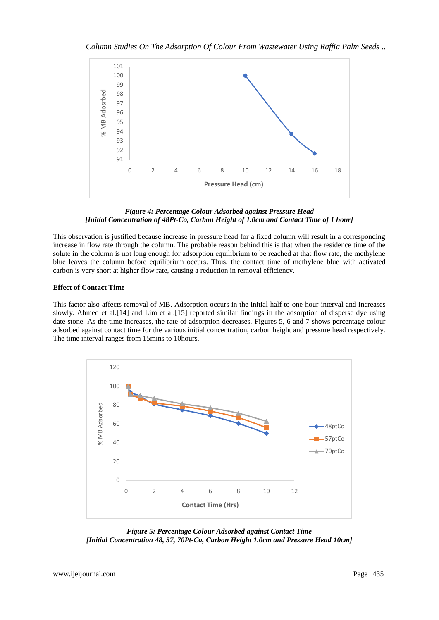

*Figure 4: Percentage Colour Adsorbed against Pressure Head [Initial Concentration of 48Pt-Co, Carbon Height of 1.0cm and Contact Time of 1 hour]*

This observation is justified because increase in pressure head for a fixed column will result in a corresponding increase in flow rate through the column. The probable reason behind this is that when the residence time of the solute in the column is not long enough for adsorption equilibrium to be reached at that flow rate, the methylene blue leaves the column before equilibrium occurs. Thus, the contact time of methylene blue with activated carbon is very short at higher flow rate, causing a reduction in removal efficiency.

## **Effect of Contact Time**

This factor also affects removal of MB. Adsorption occurs in the initial half to one-hour interval and increases slowly. Ahmed et al.[14] and Lim et al.[15] reported similar findings in the adsorption of disperse dye using date stone. As the time increases, the rate of adsorption decreases. Figures 5, 6 and 7 shows percentage colour adsorbed against contact time for the various initial concentration, carbon height and pressure head respectively. The time interval ranges from 15mins to 10hours.



*Figure 5: Percentage Colour Adsorbed against Contact Time [Initial Concentration 48, 57, 70Pt-Co, Carbon Height 1.0cm and Pressure Head 10cm]*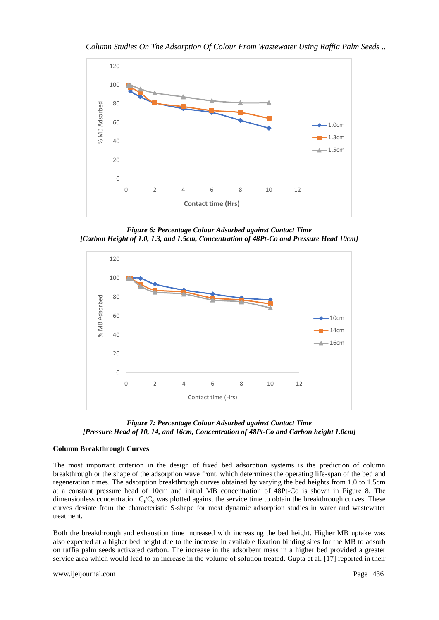

*Figure 6: Percentage Colour Adsorbed against Contact Time [Carbon Height of 1.0, 1.3, and 1.5cm, Concentration of 48Pt-Co and Pressure Head 10cm]*



*Figure 7: Percentage Colour Adsorbed against Contact Time [Pressure Head of 10, 14, and 16cm, Concentration of 48Pt-Co and Carbon height 1.0cm]*

## **Column Breakthrough Curves**

The most important criterion in the design of fixed bed adsorption systems is the prediction of column breakthrough or the shape of the adsorption wave front, which determines the operating life-span of the bed and regeneration times. The adsorption breakthrough curves obtained by varying the bed heights from 1.0 to 1.5cm at a constant pressure head of 10cm and initial MB concentration of 48Pt-Co is shown in Figure 8. The dimensionless concentration  $C_t/C_o$  was plotted against the service time to obtain the breakthrough curves. These curves deviate from the characteristic S-shape for most dynamic adsorption studies in water and wastewater treatment.

Both the breakthrough and exhaustion time increased with increasing the bed height. Higher MB uptake was also expected at a higher bed height due to the increase in available fixation binding sites for the MB to adsorb on raffia palm seeds activated carbon. The increase in the adsorbent mass in a higher bed provided a greater service area which would lead to an increase in the volume of solution treated. Gupta et al. [17] reported in their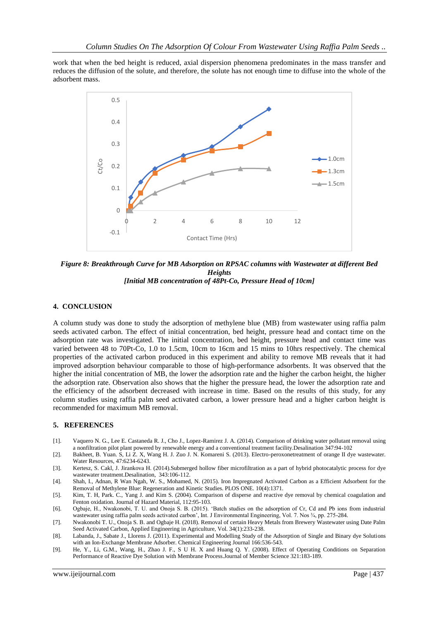work that when the bed height is reduced, axial dispersion phenomena predominates in the mass transfer and reduces the diffusion of the solute, and therefore, the solute has not enough time to diffuse into the whole of the adsorbent mass.



*Figure 8: Breakthrough Curve for MB Adsorption on RPSAC columns with Wastewater at different Bed Heights [Initial MB concentration of 48Pt-Co, Pressure Head of 10cm]*

#### **4. CONCLUSION**

A column study was done to study the adsorption of methylene blue (MB) from wastewater using raffia palm seeds activated carbon. The effect of initial concentration, bed height, pressure head and contact time on the adsorption rate was investigated. The initial concentration, bed height, pressure head and contact time was varied between 48 to 70Pt-Co, 1.0 to 1.5cm, 10cm to 16cm and 15 mins to 10hrs respectively. The chemical properties of the activated carbon produced in this experiment and ability to remove MB reveals that it had improved adsorption behaviour comparable to those of high-performance adsorbents. It was observed that the higher the initial concentration of MB, the lower the adsorption rate and the higher the carbon height, the higher the adsorption rate. Observation also shows that the higher the pressure head, the lower the adsorption rate and the efficiency of the adsorbent decreased with increase in time. Based on the results of this study, for any column studies using raffia palm seed activated carbon, a lower pressure head and a higher carbon height is recommended for maximum MB removal.

#### **5. REFERENCES**

- [1]. Vaquero N. G., Lee E. Castaneda R. J., Cho J., Lopez-Ramirez J. A. (2014). Comparison of drinking water pollutant removal using a nonfiltration pilot plant powered by renewable energy and a conventional treatment facility.Desalination 347:94-102
- [2]. Bakheet, B. Yuan. S, Li Z. X, Wang H. J. Zuo J. N. Komareni S. (2013). Electro-peroxonetreatment of orange II dye wastewater. Water Resources, 47:6234-6243.
- [3]. Kertesz, S. Cakl, J. Jirankova H. (2014).Submerged hollow fiber microfiltration as a part of hybrid photocatalytic process for dye wastewater treatment.Desalination, 343:106-112.
- [4]. Shah, I., Adnan, R Wan Ngah, W. S., Mohamed, N. (2015). Iron Impregnated Activated Carbon as a Efficient Adsorbent for the Removal of Methylene Blue: Regeneration and Kinetic Studies. PLOS ONE. 10(4):1371.
- [5]. Kim, T. H, Park. C., Yang J. and Kim S. (2004). Comparison of disperse and reactive dye removal by chemical coagulation and Fenton oxidation. Journal of Hazard Material, 112:95-103.
- [6]. Ogbaje, H., Nwakonobi, T. U. and Onoja S. B. (2015). 'Batch studies on the adsorption of Cr, Cd and Pb ions from industrial wastewater using raffia palm seeds activated carbon', Int. J Environmental Engineering, Vol. 7. Nos ¾, pp. 275-284.
- [7]. Nwakonobi T. U., Onoja S. B. and Ogbaje H. (2018). Removal of certain Heavy Metals from Brewery Wastewater using Date Palm Seed Activated Carbon, Applied Engineering in Agriculture, Vol. 34(1):233-238.
- [8]. Labanda, J., Sabate J., Llorens J. (2011). Experimental and Modelling Study of the Adsorption of Single and Binary dye Solutions with an Ion-Exchange Membrane Adsorber. Chemical Engineering Journal 166:536-543.
- [9]. He, Y., Li, G.M., Wang, H., Zhao J. F., S U H. X and Huang Q. Y. (2008). Effect of Operating Conditions on Separation Performance of Reactive Dye Solution with Membrane Process.Journal of Member Science 321:183-189.